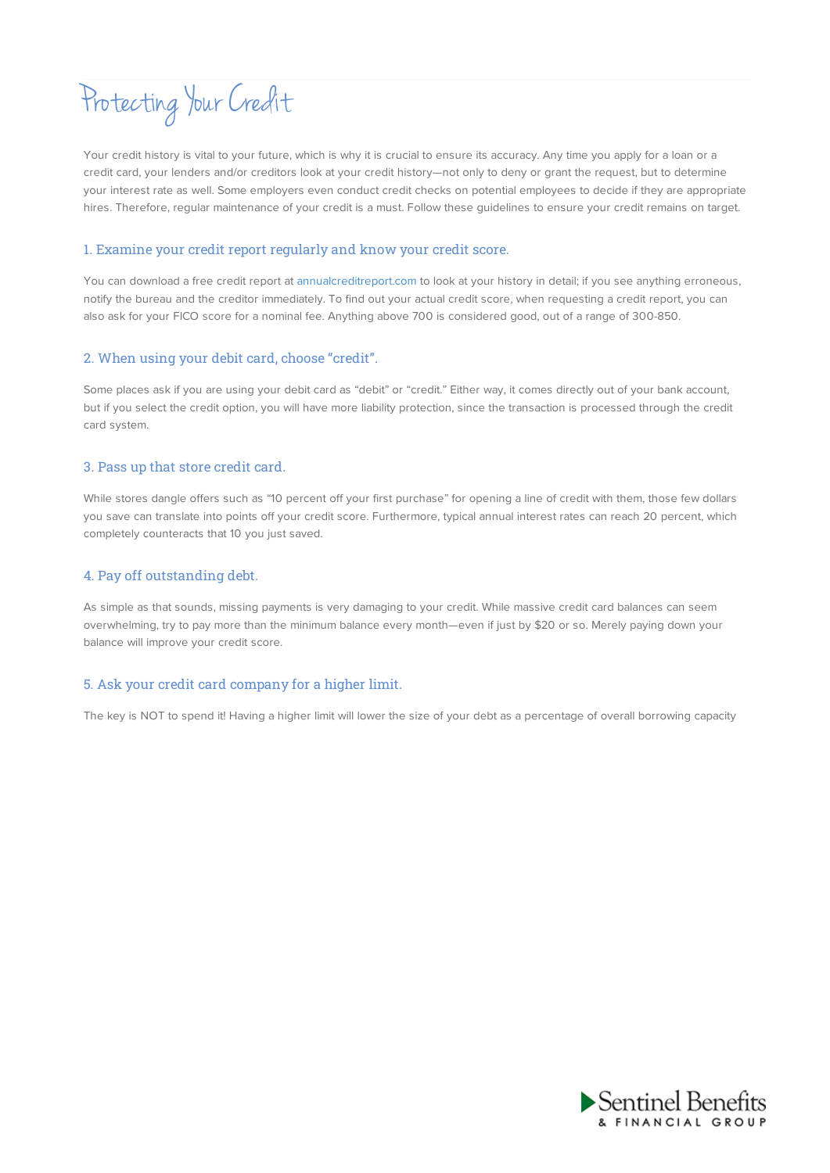# Protecting Your Credit

Your credit history is vital to your future, which is why it is crucial to ensure its accuracy. Any time you apply for a loan or a credit card, your lenders and/or creditors look at your credit history—not only to deny or grant the request, but to determine your interest rate as well. Some employers even conduct credit checks on potential employees to decide if they are appropriate hires. Therefore, regular maintenance of your credit is a must. Follow these guidelines to ensure your credit remains on target.

## 1. Examine your credit report regularly and know your credit score.

You can download a free credit report at annualcreditreport.com to look at your history in detail; if you see anything erroneous, notify the bureau and the creditor immediately. To find out your actual credit score, when requesting a credit report, you can also ask for your FICO score for a nominal fee. Anything above 700 is considered good, out of a range of 300-850.

## 2. When using your debit card, choose "credit".

Some places ask if you are using your debit card as "debit" or "credit." Either way, it comes directly out of your bank account, but if you select the credit option, you will have more liability protection, since the transaction is processed through the credit card system.

## 3. Pass up that store credit card.

While stores dangle offers such as "10 percent off your first purchase" for opening a line of credit with them, those few dollars you save can translate into points off your credit score. Furthermore, typical annual interest rates can reach 20 percent, which completely counteracts that 10 you just saved.

# 4. Pay off outstanding debt.

As simple as that sounds, missing payments is very damaging to your credit. While massive credit card balances can seem overwhelming, try to pay more than the minimum balance every month—even if just by \$20 or so. Merely paying down your balance will improve your credit score.

# 5. Ask your credit card company for a higher limit.

The key is NOT to spend it! Having a higher limit will lower the size of your debt as a percentage of overall borrowing capacity